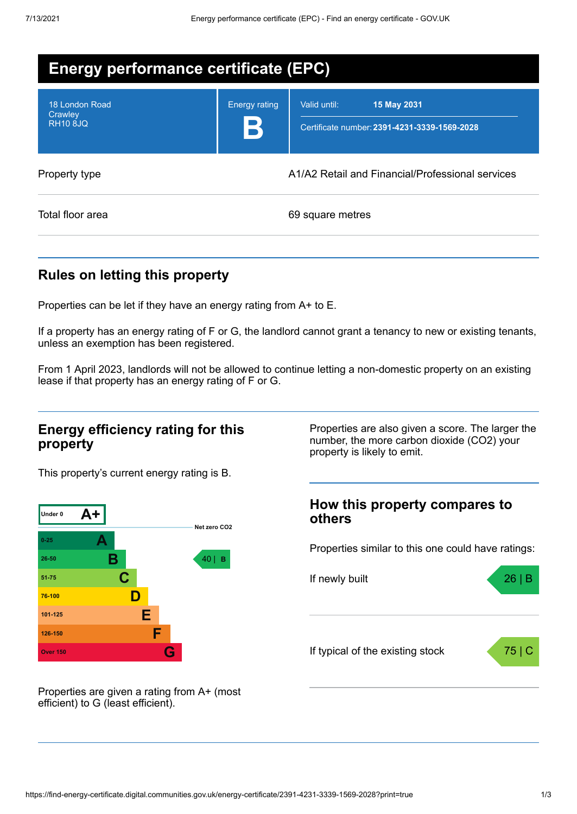| <b>Energy performance certificate (EPC)</b>  |                      |                                                                             |  |  |
|----------------------------------------------|----------------------|-----------------------------------------------------------------------------|--|--|
| 18 London Road<br>Crawley<br><b>RH10 8JQ</b> | <b>Energy rating</b> | Valid until:<br>15 May 2031<br>Certificate number: 2391-4231-3339-1569-2028 |  |  |
| Property type                                |                      | A1/A2 Retail and Financial/Professional services                            |  |  |
| Total floor area                             |                      | 69 square metres                                                            |  |  |

# **Rules on letting this property**

Properties can be let if they have an energy rating from A+ to E.

If a property has an energy rating of F or G, the landlord cannot grant a tenancy to new or existing tenants, unless an exemption has been registered.

From 1 April 2023, landlords will not be allowed to continue letting a non-domestic property on an existing lease if that property has an energy rating of F or G.

#### **Energy efficiency rating for this property**

This property's current energy rating is B.



Properties are given a rating from A+ (most efficient) to G (least efficient).

Properties are also given a score. The larger the number, the more carbon dioxide (CO2) your property is likely to emit.

### **How this property compares to others**

Properties similar to this one could have ratings:

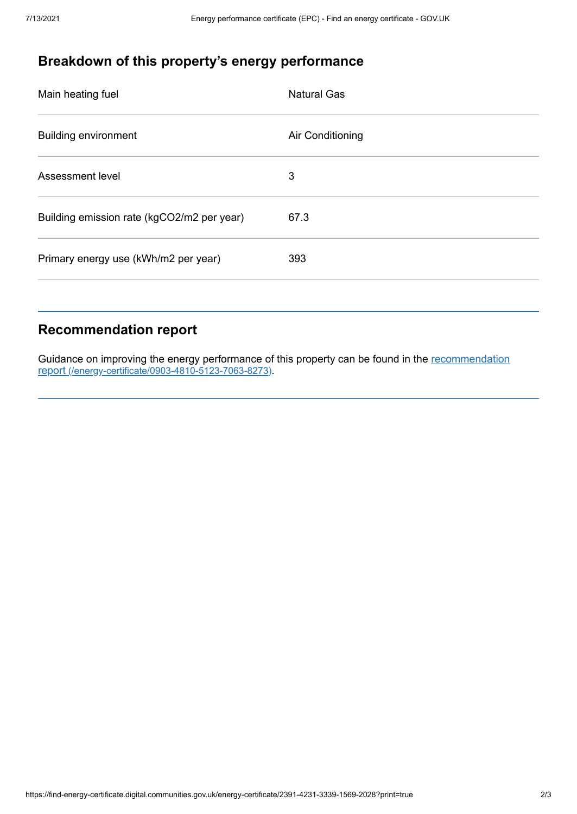# **Breakdown of this property's energy performance**

| Main heating fuel                          | <b>Natural Gas</b> |
|--------------------------------------------|--------------------|
| <b>Building environment</b>                | Air Conditioning   |
| Assessment level                           | 3                  |
| Building emission rate (kgCO2/m2 per year) | 67.3               |
| Primary energy use (kWh/m2 per year)       | 393                |
|                                            |                    |

# **Recommendation report**

Guidance on improving the energy performance of this property can be found in the recommendation report [\(/energy-certificate/0903-4810-5123-7063-8273\)](https://find-energy-certificate.digital.communities.gov.uk/energy-certificate/0903-4810-5123-7063-8273).